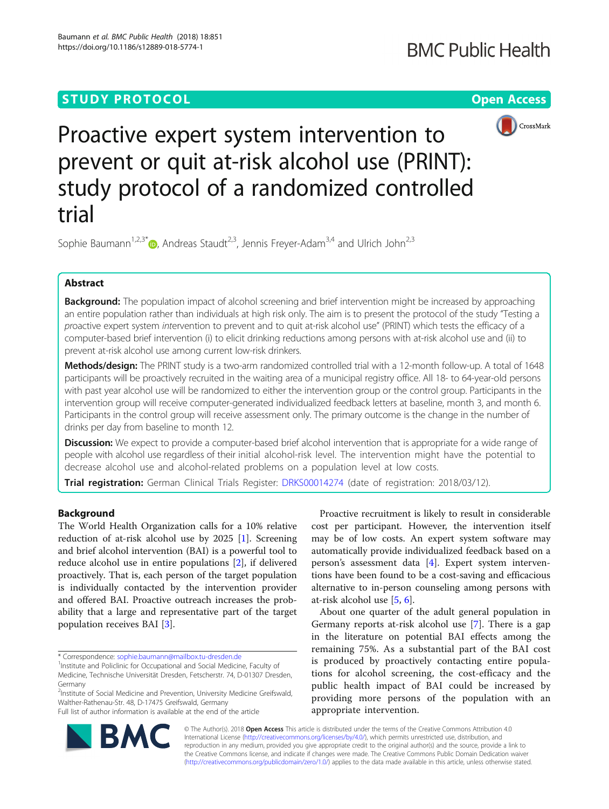# **STUDY PROTOCOL CONSUMING THE CONSUMING THE CONSUMING TEAM CONSUMING THE CONSUMING TEAM CONSUMING THE CONSUMING TEAM**



Proactive expert system intervention to prevent or quit at-risk alcohol use (PRINT): study protocol of a randomized controlled trial

Sophie Baumann<sup>1[,](http://orcid.org/0000-0002-7697-4923)2,3\*</sup> $\bullet$ , Andreas Staudt<sup>2,3</sup>, Jennis Freyer-Adam<sup>3,4</sup> and Ulrich John<sup>2,3</sup>

# Abstract

Background: The population impact of alcohol screening and brief intervention might be increased by approaching an entire population rather than individuals at high risk only. The aim is to present the protocol of the study "Testing a proactive expert system intervention to prevent and to quit at-risk alcohol use" (PRINT) which tests the efficacy of a computer-based brief intervention (i) to elicit drinking reductions among persons with at-risk alcohol use and (ii) to prevent at-risk alcohol use among current low-risk drinkers.

Methods/design: The PRINT study is a two-arm randomized controlled trial with a 12-month follow-up. A total of 1648 participants will be proactively recruited in the waiting area of a municipal registry office. All 18- to 64-year-old persons with past year alcohol use will be randomized to either the intervention group or the control group. Participants in the intervention group will receive computer-generated individualized feedback letters at baseline, month 3, and month 6. Participants in the control group will receive assessment only. The primary outcome is the change in the number of drinks per day from baseline to month 12.

**Discussion:** We expect to provide a computer-based brief alcohol intervention that is appropriate for a wide range of people with alcohol use regardless of their initial alcohol-risk level. The intervention might have the potential to decrease alcohol use and alcohol-related problems on a population level at low costs.

Trial registration: German Clinical Trials Register: [DRKS00014274](https://www.drks.de/drks_web/setLocale_EN.do) (date of registration: 2018/03/12).

# Background

The World Health Organization calls for a 10% relative reduction of at-risk alcohol use by 2025 [[1\]](#page-5-0). Screening and brief alcohol intervention (BAI) is a powerful tool to reduce alcohol use in entire populations [[2\]](#page-5-0), if delivered proactively. That is, each person of the target population is individually contacted by the intervention provider and offered BAI. Proactive outreach increases the probability that a large and representative part of the target population receives BAI [[3\]](#page-5-0).

\* Correspondence: [sophie.baumann@mailbox.tu-dresden.de](mailto:sophie.baumann@mailbox.tu-dresden.de) <sup>1</sup>

<sup>2</sup>Institute of Social Medicine and Prevention, University Medicine Greifswald, Walther-Rathenau-Str. 48, D-17475 Greifswald, Germany

Full list of author information is available at the end of the article

Proactive recruitment is likely to result in considerable cost per participant. However, the intervention itself may be of low costs. An expert system software may automatically provide individualized feedback based on a person's assessment data [[4\]](#page-5-0). Expert system interventions have been found to be a cost-saving and efficacious alternative to in-person counseling among persons with at-risk alcohol use [[5](#page-5-0), [6](#page-5-0)].

About one quarter of the adult general population in Germany reports at-risk alcohol use [\[7](#page-5-0)]. There is a gap in the literature on potential BAI effects among the remaining 75%. As a substantial part of the BAI cost is produced by proactively contacting entire populations for alcohol screening, the cost-efficacy and the public health impact of BAI could be increased by providing more persons of the population with an appropriate intervention.



© The Author(s). 2018 Open Access This article is distributed under the terms of the Creative Commons Attribution 4.0 International License [\(http://creativecommons.org/licenses/by/4.0/](http://creativecommons.org/licenses/by/4.0/)), which permits unrestricted use, distribution, and reproduction in any medium, provided you give appropriate credit to the original author(s) and the source, provide a link to the Creative Commons license, and indicate if changes were made. The Creative Commons Public Domain Dedication waiver [\(http://creativecommons.org/publicdomain/zero/1.0/](http://creativecommons.org/publicdomain/zero/1.0/)) applies to the data made available in this article, unless otherwise stated.

<sup>&</sup>lt;sup>1</sup> Institute and Policlinic for Occupational and Social Medicine, Faculty of Medicine, Technische Universität Dresden, Fetscherstr. 74, D-01307 Dresden, Germany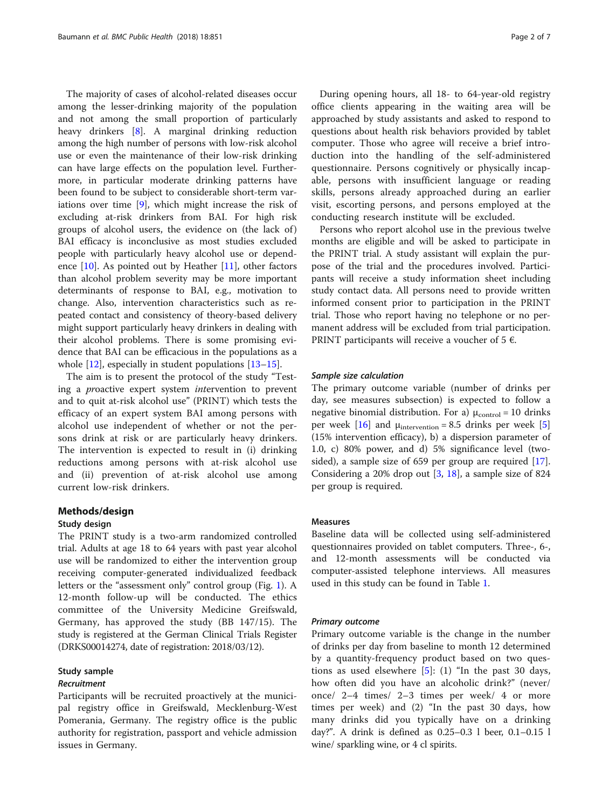The majority of cases of alcohol-related diseases occur among the lesser-drinking majority of the population and not among the small proportion of particularly heavy drinkers [\[8](#page-5-0)]. A marginal drinking reduction among the high number of persons with low-risk alcohol use or even the maintenance of their low-risk drinking can have large effects on the population level. Furthermore, in particular moderate drinking patterns have been found to be subject to considerable short-term variations over time [\[9](#page-5-0)], which might increase the risk of excluding at-risk drinkers from BAI. For high risk groups of alcohol users, the evidence on (the lack of ) BAI efficacy is inconclusive as most studies excluded people with particularly heavy alcohol use or dependence  $[10]$  $[10]$ . As pointed out by Heather  $[11]$  $[11]$ , other factors than alcohol problem severity may be more important determinants of response to BAI, e.g., motivation to change. Also, intervention characteristics such as repeated contact and consistency of theory-based delivery might support particularly heavy drinkers in dealing with their alcohol problems. There is some promising evidence that BAI can be efficacious in the populations as a whole  $[12]$ , especially in student populations  $[13-15]$  $[13-15]$  $[13-15]$ .

The aim is to present the protocol of the study "Testing a proactive expert system intervention to prevent and to quit at-risk alcohol use" (PRINT) which tests the efficacy of an expert system BAI among persons with alcohol use independent of whether or not the persons drink at risk or are particularly heavy drinkers. The intervention is expected to result in (i) drinking reductions among persons with at-risk alcohol use and (ii) prevention of at-risk alcohol use among current low-risk drinkers.

### Methods/design

## Study design

The PRINT study is a two-arm randomized controlled trial. Adults at age 18 to 64 years with past year alcohol use will be randomized to either the intervention group receiving computer-generated individualized feedback letters or the "assessment only" control group (Fig. [1](#page-2-0)). A 12-month follow-up will be conducted. The ethics committee of the University Medicine Greifswald, Germany, has approved the study (BB 147/15). The study is registered at the German Clinical Trials Register (DRKS00014274, date of registration: 2018/03/12).

# Study sample

### Recruitment

Participants will be recruited proactively at the municipal registry office in Greifswald, Mecklenburg-West Pomerania, Germany. The registry office is the public authority for registration, passport and vehicle admission issues in Germany.

During opening hours, all 18- to 64-year-old registry office clients appearing in the waiting area will be approached by study assistants and asked to respond to questions about health risk behaviors provided by tablet computer. Those who agree will receive a brief introduction into the handling of the self-administered questionnaire. Persons cognitively or physically incapable, persons with insufficient language or reading skills, persons already approached during an earlier visit, escorting persons, and persons employed at the conducting research institute will be excluded.

Persons who report alcohol use in the previous twelve months are eligible and will be asked to participate in the PRINT trial. A study assistant will explain the purpose of the trial and the procedures involved. Participants will receive a study information sheet including study contact data. All persons need to provide written informed consent prior to participation in the PRINT trial. Those who report having no telephone or no permanent address will be excluded from trial participation. PRINT participants will receive a voucher of 5  $\epsilon$ .

### Sample size calculation

The primary outcome variable (number of drinks per day, see measures subsection) is expected to follow a negative binomial distribution. For a)  $\mu_{control} = 10$  drinks per week  $[16]$  and  $\mu$ <sub>intervention</sub> = 8.5 drinks per week [\[5](#page-5-0)] (15% intervention efficacy), b) a dispersion parameter of 1.0, c) 80% power, and d) 5% significance level (twosided), a sample size of 659 per group are required [\[17](#page-5-0)]. Considering a 20% drop out [[3,](#page-5-0) [18\]](#page-5-0), a sample size of 824 per group is required.

### Measures

Baseline data will be collected using self-administered questionnaires provided on tablet computers. Three-, 6-, and 12-month assessments will be conducted via computer-assisted telephone interviews. All measures used in this study can be found in Table [1](#page-2-0).

#### Primary outcome

Primary outcome variable is the change in the number of drinks per day from baseline to month 12 determined by a quantity-frequency product based on two questions as used elsewhere  $[5]$  $[5]$ : (1) "In the past 30 days, how often did you have an alcoholic drink?" (never/ once/ 2–4 times/ 2–3 times per week/ 4 or more times per week) and (2) "In the past 30 days, how many drinks did you typically have on a drinking day?". A drink is defined as 0.25–0.3 l beer, 0.1–0.15 l wine/ sparkling wine, or 4 cl spirits.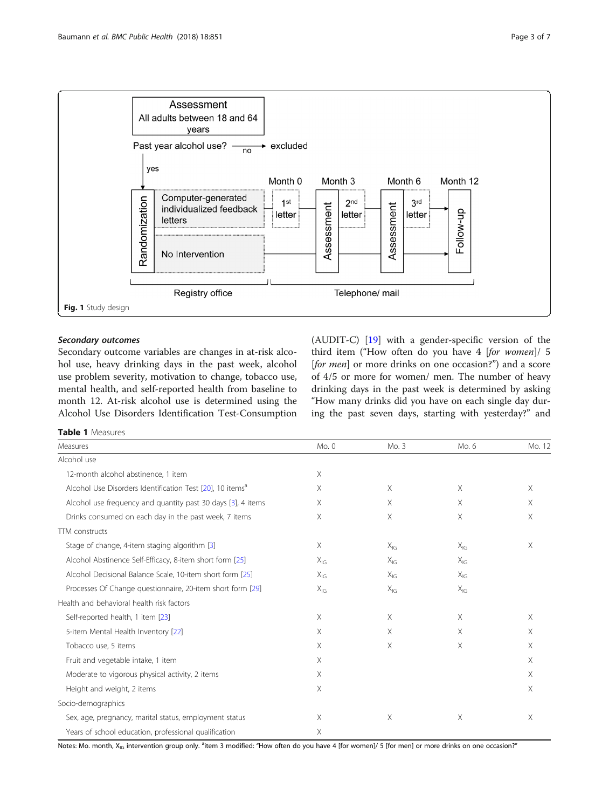<span id="page-2-0"></span>

# Secondary outcomes

Secondary outcome variables are changes in at-risk alcohol use, heavy drinking days in the past week, alcohol use problem severity, motivation to change, tobacco use, mental health, and self-reported health from baseline to month 12. At-risk alcohol use is determined using the Alcohol Use Disorders Identification Test-Consumption (AUDIT-C) [\[19\]](#page-5-0) with a gender-specific version of the third item ("How often do you have 4 [for women]/ 5 [for men] or more drinks on one occasion?") and a score of 4/5 or more for women/ men. The number of heavy drinking days in the past week is determined by asking "How many drinks did you have on each single day during the past seven days, starting with yesterday?" and

## Table 1 Measures

| Measures                                                              | Mo. 0    | Mo. 3       | Mo. 6    | Mo. 12   |
|-----------------------------------------------------------------------|----------|-------------|----------|----------|
| Alcohol use                                                           |          |             |          |          |
| 12-month alcohol abstinence, 1 item                                   | X        |             |          |          |
| Alcohol Use Disorders Identification Test [20], 10 items <sup>a</sup> | X        | $\times$    | X        | X        |
| Alcohol use frequency and quantity past 30 days [3], 4 items          | X        | $\times$    | X        | $\times$ |
| Drinks consumed on each day in the past week, 7 items                 | X        | $\mathsf X$ | X        | $\times$ |
| <b>TTM</b> constructs                                                 |          |             |          |          |
| Stage of change, 4-item staging algorithm [3]                         | X        | $X_{IG}$    | $X_{IG}$ | X        |
| Alcohol Abstinence Self-Efficacy, 8-item short form [25]              | $X_{IG}$ | $X_{IG}$    | $X_{IG}$ |          |
| Alcohol Decisional Balance Scale, 10-item short form [25]             | $X_{IG}$ | $X_{IG}$    | $X_{IG}$ |          |
| Processes Of Change questionnaire, 20-item short form [29]            | $X_{IG}$ | $X_{IG}$    | $X_{IG}$ |          |
| Health and behavioral health risk factors                             |          |             |          |          |
| Self-reported health, 1 item [23]                                     | X        | $\times$    | X        | X        |
| 5-item Mental Health Inventory [22]                                   | X        | $\times$    | X        | X        |
| Tobacco use, 5 items                                                  | $\times$ | $\times$    | X        | X        |
| Fruit and vegetable intake, 1 item                                    | $\times$ |             |          | X        |
| Moderate to vigorous physical activity, 2 items                       | X        |             |          | X        |
| Height and weight, 2 items                                            | X        |             |          | X        |
| Socio-demographics                                                    |          |             |          |          |
| Sex, age, pregnancy, marital status, employment status                | X        | Χ           | Χ        | Χ        |
| Years of school education, professional qualification                 | X        |             |          |          |

Notes: Mo. month, X<sub>IG</sub> intervention group only. <sup>a</sup>item 3 modified: "How often do you have 4 [for women]/ 5 [for men] or more drinks on one occasion?"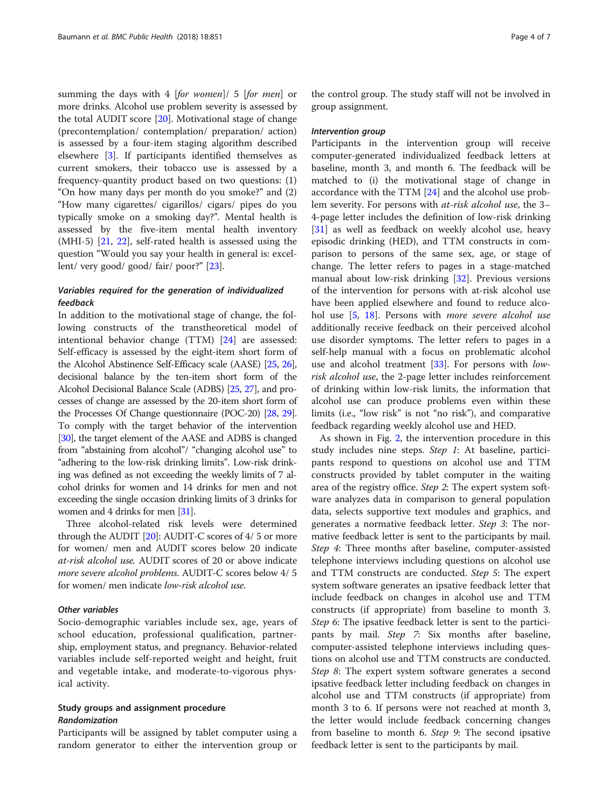summing the days with 4 [for women]/ 5 [for men] or more drinks. Alcohol use problem severity is assessed by the total AUDIT score [\[20](#page-5-0)]. Motivational stage of change (precontemplation/ contemplation/ preparation/ action) is assessed by a four-item staging algorithm described elsewhere [[3](#page-5-0)]. If participants identified themselves as current smokers, their tobacco use is assessed by a frequency-quantity product based on two questions: (1) "On how many days per month do you smoke?" and (2) "How many cigarettes/ cigarillos/ cigars/ pipes do you typically smoke on a smoking day?". Mental health is assessed by the five-item mental health inventory (MHI-5) [\[21](#page-6-0), [22](#page-6-0)], self-rated health is assessed using the question "Would you say your health in general is: excellent/ very good/ good/ fair/ poor?" [[23](#page-6-0)].

# Variables required for the generation of individualized feedback

In addition to the motivational stage of change, the following constructs of the transtheoretical model of intentional behavior change (TTM) [\[24](#page-6-0)] are assessed: Self-efficacy is assessed by the eight-item short form of the Alcohol Abstinence Self-Efficacy scale (AASE) [\[25,](#page-6-0) [26](#page-6-0)], decisional balance by the ten-item short form of the Alcohol Decisional Balance Scale (ADBS) [\[25](#page-6-0), [27\]](#page-6-0), and processes of change are assessed by the 20-item short form of the Processes Of Change questionnaire (POC-20) [\[28,](#page-6-0) [29](#page-6-0)]. To comply with the target behavior of the intervention [[30](#page-6-0)], the target element of the AASE and ADBS is changed from "abstaining from alcohol"/ "changing alcohol use" to "adhering to the low-risk drinking limits". Low-risk drinking was defined as not exceeding the weekly limits of 7 alcohol drinks for women and 14 drinks for men and not exceeding the single occasion drinking limits of 3 drinks for women and 4 drinks for men [[31](#page-6-0)].

Three alcohol-related risk levels were determined through the AUDIT  $[20]$  $[20]$ : AUDIT-C scores of  $4/5$  or more for women/ men and AUDIT scores below 20 indicate at-risk alcohol use. AUDIT scores of 20 or above indicate more severe alcohol problems. AUDIT-C scores below 4/ 5 for women/ men indicate low-risk alcohol use.

### Other variables

Socio-demographic variables include sex, age, years of school education, professional qualification, partnership, employment status, and pregnancy. Behavior-related variables include self-reported weight and height, fruit and vegetable intake, and moderate-to-vigorous physical activity.

# Study groups and assignment procedure Randomization

Participants will be assigned by tablet computer using a random generator to either the intervention group or

the control group. The study staff will not be involved in group assignment.

### Intervention group

Participants in the intervention group will receive computer-generated individualized feedback letters at baseline, month 3, and month 6. The feedback will be matched to (i) the motivational stage of change in accordance with the TTM [[24](#page-6-0)] and the alcohol use problem severity. For persons with at-risk alcohol use, the 3– 4-page letter includes the definition of low-risk drinking [[31\]](#page-6-0) as well as feedback on weekly alcohol use, heavy episodic drinking (HED), and TTM constructs in comparison to persons of the same sex, age, or stage of change. The letter refers to pages in a stage-matched manual about low-risk drinking [\[32](#page-6-0)]. Previous versions of the intervention for persons with at-risk alcohol use have been applied elsewhere and found to reduce alco-hol use [[5](#page-5-0), [18\]](#page-5-0). Persons with *more severe alcohol use* additionally receive feedback on their perceived alcohol use disorder symptoms. The letter refers to pages in a self-help manual with a focus on problematic alcohol use and alcohol treatment [\[33](#page-6-0)]. For persons with *low*risk alcohol use, the 2-page letter includes reinforcement of drinking within low-risk limits, the information that alcohol use can produce problems even within these limits (i.e., "low risk" is not "no risk"), and comparative feedback regarding weekly alcohol use and HED.

As shown in Fig. [2,](#page-4-0) the intervention procedure in this study includes nine steps. Step 1: At baseline, participants respond to questions on alcohol use and TTM constructs provided by tablet computer in the waiting area of the registry office. Step 2: The expert system software analyzes data in comparison to general population data, selects supportive text modules and graphics, and generates a normative feedback letter. Step 3: The normative feedback letter is sent to the participants by mail. Step 4: Three months after baseline, computer-assisted telephone interviews including questions on alcohol use and TTM constructs are conducted. Step 5: The expert system software generates an ipsative feedback letter that include feedback on changes in alcohol use and TTM constructs (if appropriate) from baseline to month 3. Step 6: The ipsative feedback letter is sent to the participants by mail. Step 7: Six months after baseline, computer-assisted telephone interviews including questions on alcohol use and TTM constructs are conducted. Step 8: The expert system software generates a second ipsative feedback letter including feedback on changes in alcohol use and TTM constructs (if appropriate) from month 3 to 6. If persons were not reached at month 3, the letter would include feedback concerning changes from baseline to month 6. Step 9: The second ipsative feedback letter is sent to the participants by mail.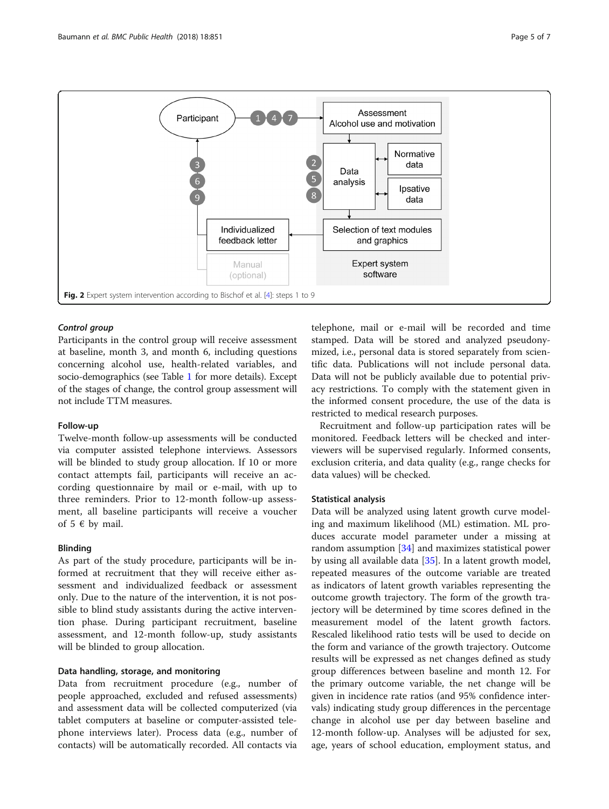<span id="page-4-0"></span>

## Control group

Participants in the control group will receive assessment at baseline, month 3, and month 6, including questions concerning alcohol use, health-related variables, and socio-demographics (see Table [1](#page-2-0) for more details). Except of the stages of change, the control group assessment will not include TTM measures.

### Follow-up

Twelve-month follow-up assessments will be conducted via computer assisted telephone interviews. Assessors will be blinded to study group allocation. If 10 or more contact attempts fail, participants will receive an according questionnaire by mail or e-mail, with up to three reminders. Prior to 12-month follow-up assessment, all baseline participants will receive a voucher of  $5 \in$  by mail.

### Blinding

As part of the study procedure, participants will be informed at recruitment that they will receive either assessment and individualized feedback or assessment only. Due to the nature of the intervention, it is not possible to blind study assistants during the active intervention phase. During participant recruitment, baseline assessment, and 12-month follow-up, study assistants will be blinded to group allocation.

# Data handling, storage, and monitoring

Data from recruitment procedure (e.g., number of people approached, excluded and refused assessments) and assessment data will be collected computerized (via tablet computers at baseline or computer-assisted telephone interviews later). Process data (e.g., number of contacts) will be automatically recorded. All contacts via telephone, mail or e-mail will be recorded and time stamped. Data will be stored and analyzed pseudonymized, i.e., personal data is stored separately from scientific data. Publications will not include personal data. Data will not be publicly available due to potential privacy restrictions. To comply with the statement given in the informed consent procedure, the use of the data is restricted to medical research purposes.

Recruitment and follow-up participation rates will be monitored. Feedback letters will be checked and interviewers will be supervised regularly. Informed consents, exclusion criteria, and data quality (e.g., range checks for data values) will be checked.

### Statistical analysis

Data will be analyzed using latent growth curve modeling and maximum likelihood (ML) estimation. ML produces accurate model parameter under a missing at random assumption [[34](#page-6-0)] and maximizes statistical power by using all available data [[35\]](#page-6-0). In a latent growth model, repeated measures of the outcome variable are treated as indicators of latent growth variables representing the outcome growth trajectory. The form of the growth trajectory will be determined by time scores defined in the measurement model of the latent growth factors. Rescaled likelihood ratio tests will be used to decide on the form and variance of the growth trajectory. Outcome results will be expressed as net changes defined as study group differences between baseline and month 12. For the primary outcome variable, the net change will be given in incidence rate ratios (and 95% confidence intervals) indicating study group differences in the percentage change in alcohol use per day between baseline and 12-month follow-up. Analyses will be adjusted for sex, age, years of school education, employment status, and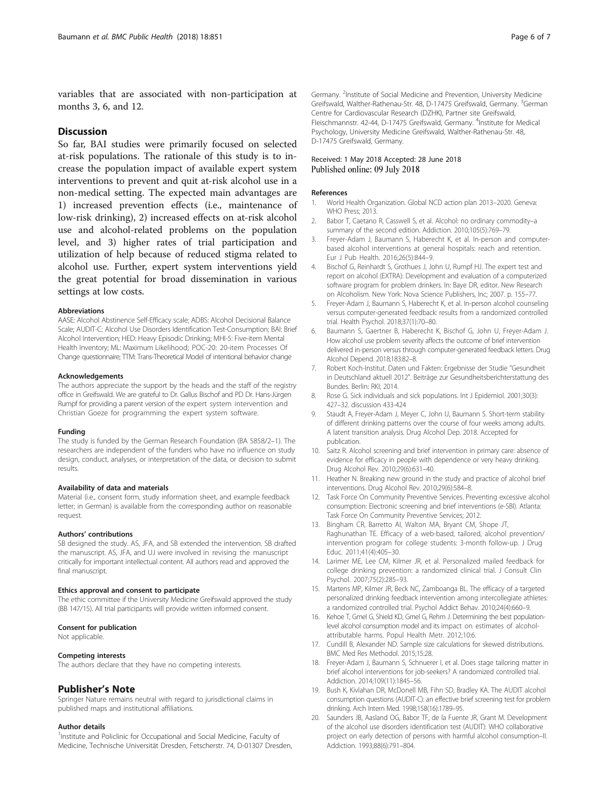<span id="page-5-0"></span>variables that are associated with non-participation at months 3, 6, and 12.

# **Discussion**

So far, BAI studies were primarily focused on selected at-risk populations. The rationale of this study is to increase the population impact of available expert system interventions to prevent and quit at-risk alcohol use in a non-medical setting. The expected main advantages are 1) increased prevention effects (i.e., maintenance of low-risk drinking), 2) increased effects on at-risk alcohol use and alcohol-related problems on the population level, and 3) higher rates of trial participation and utilization of help because of reduced stigma related to alcohol use. Further, expert system interventions yield the great potential for broad dissemination in various settings at low costs.

#### Abbreviations

AASE: Alcohol Abstinence Self-Efficacy scale; ADBS: Alcohol Decisional Balance Scale; AUDIT-C: Alcohol Use Disorders Identification Test-Consumption; BAI: Brief Alcohol Intervention; HED: Heavy Episodic Drinking; MHI-5: Five-item Mental Health Inventory; ML: Maximum Likelihood; POC-20: 20-item Processes Of Change questionnaire; TTM: Trans-Theoretical Model of intentional behavior change

#### Acknowledgements

The authors appreciate the support by the heads and the staff of the registry office in Greifswald. We are grateful to Dr. Gallus Bischof and PD Dr. Hans-Jürgen Rumpf for providing a parent version of the expert system intervention and Christian Goeze for programming the expert system software.

#### Funding

The study is funded by the German Research Foundation (BA 5858/2–1). The researchers are independent of the funders who have no influence on study design, conduct, analyses, or interpretation of the data, or decision to submit results.

#### Availability of data and materials

Material (i.e., consent form, study information sheet, and example feedback letter; in German) is available from the corresponding author on reasonable request.

#### Authors' contributions

SB designed the study. AS, JFA, and SB extended the intervention. SB drafted the manuscript. AS, JFA, and UJ were involved in revising the manuscript critically for important intellectual content. All authors read and approved the final manuscript.

### Ethics approval and consent to participate

The ethic committee if the University Medicine Greifswald approved the study (BB 147/15). All trial participants will provide written informed consent.

#### Consent for publication

Not applicable.

#### Competing interests

The authors declare that they have no competing interests.

### Publisher's Note

Springer Nature remains neutral with regard to jurisdictional claims in published maps and institutional affiliations.

#### Author details

<sup>1</sup>Institute and Policlinic for Occupational and Social Medicine, Faculty of Medicine, Technische Universität Dresden, Fetscherstr. 74, D-01307 Dresden,

Germany. <sup>2</sup>Institute of Social Medicine and Prevention, University Medicine Greifswald, Walther-Rathenau-Str. 48, D-17475 Greifswald, Germany. <sup>3</sup>German Centre for Cardiovascular Research (DZHK), Partner site Greifswald, Fleischmannstr. 42-44, D-17475 Greifswald, Germany. <sup>4</sup>Institute for Medical Psychology, University Medicine Greifswald, Walther-Rathenau-Str. 48, D-17475 Greifswald, Germany.

### Received: 1 May 2018 Accepted: 28 June 2018 Published online: 09 July 2018

#### References

- 1. World Health Organization. Global NCD action plan 2013–2020. Geneva: WHO Press; 2013.
- 2. Babor T, Caetano R, Casswell S, et al. Alcohol: no ordinary commodity–a summary of the second edition. Addiction. 2010;105(5):769–79.
- 3. Freyer-Adam J, Baumann S, Haberecht K, et al. In-person and computerbased alcohol interventions at general hospitals: reach and retention. Eur J Pub Health. 2016;26(5):844–9.
- 4. Bischof G, Reinhardt S, Grothues J, John U, Rumpf HJ. The expert test and report on alcohol (EXTRA): Development and evaluation of a computerized software program for problem drinkers. In: Baye DR, editor. New Research on Alcoholism. New York: Nova Science Publishers, Inc; 2007. p. 155–77.
- 5. Freyer-Adam J, Baumann S, Haberecht K, et al. In-person alcohol counseling versus computer-generated feedback: results from a randomized controlled trial. Health Psychol. 2018;37(1):70–80.
- 6. Baumann S, Gaertner B, Haberecht K, Bischof G, John U, Freyer-Adam J. How alcohol use problem severity affects the outcome of brief intervention delivered in-person versus through computer-generated feedback letters. Drug Alcohol Depend. 2018;183:82–8.
- 7. Robert Koch-Institut. Daten und Fakten: Ergebnisse der Studie "Gesundheit in Deutschland aktuell 2012". Beiträge zur Gesundheitsberichterstattung des Bundes. Berlin: RKI; 2014.
- 8. Rose G. Sick individuals and sick populations. Int J Epidemiol. 2001;30(3): 427–32. discussion 433-424
- Staudt A, Freyer-Adam J, Meyer C, John U, Baumann S. Short-term stability of different drinking patterns over the course of four weeks among adults. A latent transition analysis. Drug Alcohol Dep. 2018. Accepted for publication.
- 10. Saitz R. Alcohol screening and brief intervention in primary care: absence of evidence for efficacy in people with dependence or very heavy drinking. Drug Alcohol Rev. 2010;29(6):631–40.
- 11. Heather N. Breaking new ground in the study and practice of alcohol brief interventions. Drug Alcohol Rev. 2010;29(6):584–8.
- 12. Task Force On Community Preventive Services. Preventing excessive alcohol consumption: Electronic screening and brief interventions (e-SBI). Atlanta: Task Force On Community Preventive Services; 2012.
- 13. Bingham CR, Barretto AI, Walton MA, Bryant CM, Shope JT, Raghunathan TE. Efficacy of a web-based, tailored, alcohol prevention/ intervention program for college students: 3-month follow-up. J Drug Educ. 2011;41(4):405–30.
- 14. Larimer ME, Lee CM, Kilmer JR, et al. Personalized mailed feedback for college drinking prevention: a randomized clinical trial. J Consult Clin Psychol. 2007;75(2):285–93.
- 15. Martens MP, Kilmer JR, Beck NC, Zamboanga BL. The efficacy of a targeted personalized drinking feedback intervention among intercollegiate athletes: a randomized controlled trial. Psychol Addict Behav. 2010;24(4):660–9.
- 16. Kehoe T, Gmel G, Shield KD, Gmel G, Rehm J. Determining the best populationlevel alcohol consumption model and its impact on estimates of alcoholattributable harms. Popul Health Metr. 2012;10:6.
- 17. Cundill B, Alexander ND. Sample size calculations for skewed distributions. BMC Med Res Methodol. 2015;15:28.
- 18. Freyer-Adam J, Baumann S, Schnuerer I, et al. Does stage tailoring matter in brief alcohol interventions for job-seekers? A randomized controlled trial. Addiction. 2014;109(11):1845–56.
- 19. Bush K, Kivlahan DR, McDonell MB, Fihn SD, Bradley KA. The AUDIT alcohol consumption questions (AUDIT-C): an effective brief screening test for problem drinking. Arch Intern Med. 1998;158(16):1789–95.
- 20. Saunders JB, Aasland OG, Babor TF, de la Fuente JR, Grant M. Development of the alcohol use disorders identification test (AUDIT): WHO collaborative project on early detection of persons with harmful alcohol consumption–II. Addiction. 1993;88(6):791–804.